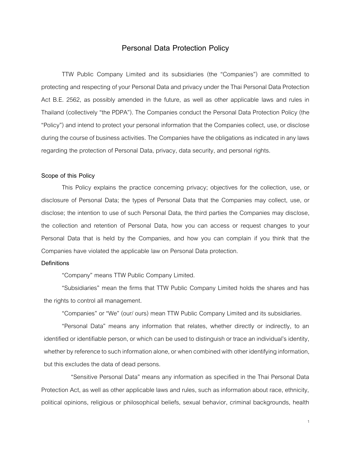# **Personal Data Protection Policy**

TTW Public Company Limited and its subsidiaries (the "Companies") are committed to protecting and respecting of your Personal Dataand privacy under the Thai Personal Data Protection Act B.E. 2562, as possibly amended in the future, as well as other applicable laws and rules in Thailand (collectively "the PDPA"). The Companies conduct the Personal Data Protection Policy (the "Policy") and intend to protect your personal information that the Companies collect, use, or disclose during the course of business activities. The Companies have the obligations as indicated in any laws regarding the protection of Personal Data, privacy, data security, and personal rights.

#### **Scope of this Policy**

This Policy explains the practice concerning privacy; objectives for the collection, use, or disclosure of Personal Data; the types of Personal Data that the Companies may collect, use, or disclose; the intention to use of such Personal Data, the third parties the Companies may disclose, the collection and retention of Personal Data, how you can access or request changes to your Personal Data that is held by the Companies, and how you can complain if you think that the Companies have violated the applicable law on Personal Data protection.

#### **Definitions**

"Company" means TTW Public Company Limited.

"Subsidiaries" mean the firms that TTW Public Company Limited holds the shares and has the rights to control all management.

"Companies" or "We" (our/ ours) mean TTW Public Company Limited and its subsidiaries.

"Personal Data" means any information that relates, whether directly or indirectly, to an identified or identifiable person, or which can be used to distinguish or trace an individual's identity, whether by reference to such information alone, or when combined with other identifying information, but this excludes the data of dead persons.

"Sensitive Personal Data" means any information as specified in the Thai Personal Data Protection Act, as well as other applicable laws and rules, such as information about race, ethnicity, political opinions, religious or philosophical beliefs, sexual behavior, criminal backgrounds, health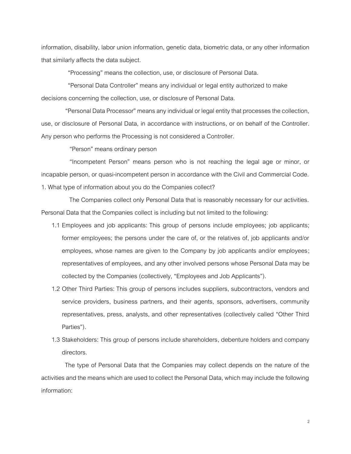information, disability, labor union information, genetic data, biometric data, or any other information that similarly affects the data subject.

"Processing" means the collection, use, or disclosure of Personal Data.

"Personal Data Controller" means any individual or legal entity authorized to make decisions concerning the collection, use, or disclosure of Personal Data.

"Personal Data Processor" means any individual or legal entity that processes the collection, use, or disclosure of Personal Data, in accordance with instructions, or on behalf of the Controller. Any person who performs the Processing is not considered a Controller.

"Person" means ordinary person

"Incompetent Person" means person who is not reaching the legal age or minor, or incapable person, or quasi-incompetent person in accordance with the Civil and Commercial Code. 1. What type of information about you do the Companies collect?

The Companies collect only Personal Data that is reasonably necessary for our activities. Personal Data that the Companies collect is including but not limited to the following:

- 1.1 Employees and job applicants: This group of persons include employees; job applicants; former employees; the persons under the care of, or the relatives of, job applicants and/or employees, whose names are given to the Company by job applicants and/or employees; representatives of employees, and any other involved persons whose Personal Data may be collected by the Companies (collectively, "Employees and Job Applicants").
- 1.2 Other Third Parties: This group of persons includes suppliers, subcontractors, vendors and service providers, business partners, and their agents, sponsors, advertisers, community representatives, press, analysts, and other representatives (collectively called "Other Third Parties").
- 1.3 Stakeholders: This group of persons include shareholders, debenture holders and company directors.

The type of Personal Data that the Companies may collect depends on the nature of the activities and the means which are used to collect the Personal Data, which may include the following information: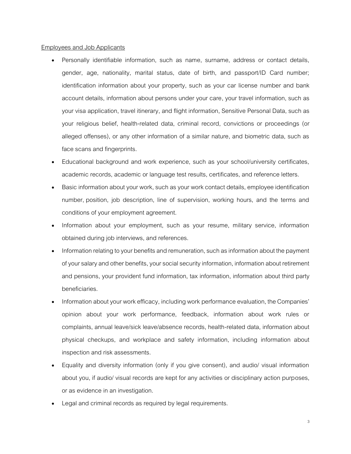### Employees and Job Applicants

- Personally identifiable information, such as name, surname, address or contact details, gender, age, nationality, marital status, date of birth, and passport/ID Card number; identification information about your property, such as your car license number and bank account details, information about persons under your care, your travel information, such as your visa application, travel itinerary, and flight information, Sensitive Personal Data, such as your religious belief, health-related data, criminal record, convictions or proceedings (or alleged offenses), or any other information of a similar nature, and biometric data, such as face scans and fingerprints.
- Educational background and work experience, such as your school/university certificates, academic records, academic or language test results, certificates, and reference letters.
- Basic information about your work, such as your work contact details, employee identification number, position, job description, line of supervision, working hours, and the terms and conditions of your employment agreement.
- Information about your employment, such as your resume, military service, information obtained during job interviews, and references.
- Information relating to your benefits and remuneration, such as information about the payment of your salary and other benefits, your social security information, information about retirement and pensions, your provident fund information, tax information, information about third party beneficiaries.
- Information about your work efficacy, including work performance evaluation, the Companies' opinion about your work performance, feedback, information about work rules or complaints, annual leave/sick leave/absence records, health-related data, information about physical checkups, and workplace and safety information, including information about inspection and risk assessments.
- Equality and diversity information (only if you give consent), and audio/ visual information about you, if audio/ visual records are kept for any activities or disciplinary action purposes, or as evidence in an investigation.
- Legal and criminal records as required by legal requirements.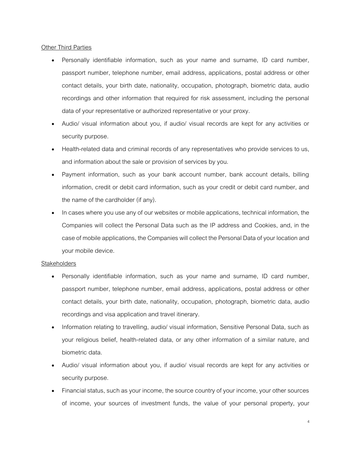## **Other Third Parties**

- Personally identifiable information, such as your name and surname, ID card number, passport number, telephone number, email address, applications, postal address or other contact details, your birth date, nationality, occupation, photograph, biometric data, audio recordings and other information that required for risk assessment, including the personal data of your representative or authorized representative or your proxy.
- Audio/ visual information about you, if audio/ visual records are kept for any activities or security purpose.
- Health-related data and criminal records of any representatives who provide services to us, and information about the sale or provision of services by you.
- Payment information, such as your bank account number, bank account details, billing information, credit or debit card information, such as your credit or debit card number, and the name of the cardholder (if any).
- In cases where you use any of our websites or mobile applications, technical information, the Companies will collect the Personal Data such as the IP address and Cookies, and, in the case of mobile applications, the Companies will collect the Personal Data of your location and your mobile device.

## **Stakeholders**

- Personally identifiable information, such as your name and surname, ID card number, passport number, telephone number, email address, applications, postal address or other contact details, your birth date, nationality, occupation, photograph, biometric data, audio recordings and visa application and travel itinerary.
- Information relating to travelling, audio/ visual information, Sensitive Personal Data, such as your religious belief, health-related data, or any other information of a similar nature, and biometric data.
- Audio/ visual information about you, if audio/ visual records are kept for any activities or security purpose.
- Financial status, such as your income, the source country of your income, your other sources of income, your sources of investment funds, the value of your personal property, your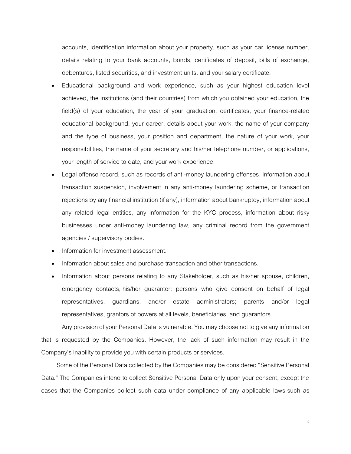accounts, identification information about your property, such as your car license number, details relating to your bank accounts, bonds, certificates of deposit, bills of exchange, debentures, listed securities, and investment units, and your salary certificate.

- Educational background and work experience, such as your highest education level achieved, the institutions (and their countries) from which you obtained your education, the field(s) of your education, the year of your graduation, certificates, your finance-related educational background, your career, details about your work, the name of your company and the type of business, your position and department, the nature of your work, your responsibilities, the name of your secretary and his/her telephone number, or applications, your length of service to date, and your work experience.
- Legal offense record, such as records of anti-money laundering offenses, information about transaction suspension, involvement in any anti-money laundering scheme, or transaction rejections by any financial institution (if any), information about bankruptcy, information about any related legal entities, any information for the KYC process, information about risky businesses under anti-money laundering law, any criminal record from the government agencies / supervisory bodies.
- Information for investment assessment.
- Information about sales and purchase transaction and other transactions.
- Information about persons relating to any Stakeholder, such as his/her spouse, children, emergency contacts, his/her guarantor; persons who give consent on behalf of legal representatives, guardians, and/or estate administrators; parents and/or legal representatives, grantors of powers at all levels, beneficiaries, and guarantors.

Any provision of your Personal Data is vulnerable. You may choose not to give any information that is requested by the Companies. However, the lack of such information may result in the Company's inability to provide you with certain products or services.

Some of the Personal Data collected by the Companies may be considered "Sensitive Personal Data." The Companies intend to collect Sensitive Personal Data only upon your consent, except the cases that the Companies collect such data under compliance of any applicable laws such as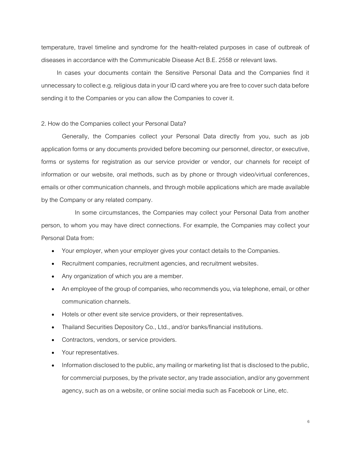temperature, travel timeline and syndrome for the health-related purposes in case of outbreak of diseases in accordance with the Communicable Disease Act B.E. 2558 or relevant laws.

In cases your documents contain the Sensitive Personal Data and the Companies find it unnecessary to collect e.g. religious data in your ID card where you are free to cover such data before sending it to the Companies or you can allow the Companies to cover it.

#### 2. How do the Companies collect your Personal Data?

Generally, the Companies collect your Personal Data directly from you, such as job application forms or any documents provided before becoming our personnel, director, or executive, forms or systems for registration as our service provider or vendor, our channels for receipt of information or our website, oral methods, such as by phone or through video/virtual conferences, emails or other communication channels, and through mobile applications which are made available by the Company or any related company.

In some circumstances, the Companies may collect your Personal Data from another person, to whom you may have direct connections. For example, the Companies may collect your Personal Data from:

- Your employer, when your employer gives your contact details to the Companies.
- Recruitment companies, recruitment agencies, and recruitment websites.
- Any organization of which you are a member.
- An employee of the group of companies, who recommends you, via telephone, email, or other communication channels.
- Hotels or other event site service providers, or their representatives.
- Thailand Securities Depository Co., Ltd., and/or banks/financial institutions.
- Contractors, vendors, or service providers.
- Your representatives.
- Information disclosed to the public, any mailing or marketing list that is disclosed to the public, for commercial purposes, by the private sector, any trade association, and/or any government agency, such as on a website, or online social media such as Facebook or Line, etc.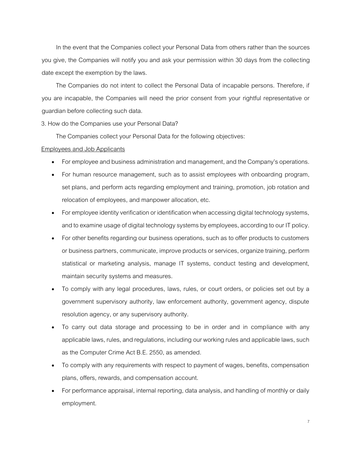In the event that the Companies collect your Personal Data from others rather than the sources you give, the Companies will notify you and ask your permission within 30 days from the collecting date except the exemption by the laws.

The Companies do not intent to collect the Personal Data of incapable persons. Therefore, if you are incapable, the Companies will need the prior consent from your rightful representative or guardian before collecting such data.

3. How do the Companies use your Personal Data?

The Companies collect your Personal Data for the following objectives:

## Employees and Job Applicants

- For employee and business administration and management, and the Company's operations.
- For human resource management, such as to assist employees with onboarding program, set plans, and perform acts regarding employment and training, promotion, job rotation and relocation of employees, and manpower allocation, etc.
- For employee identity verification or identification when accessing digital technology systems, and to examine usage of digital technology systems by employees, according to our IT policy.
- For other benefits regarding our business operations, such as to offer products to customers or business partners, communicate, improve products or services, organize training, perform statistical or marketing analysis, manage IT systems, conduct testing and development, maintain security systems and measures.
- To comply with any legal procedures, laws, rules, or court orders, or policies set out by a government supervisory authority, law enforcement authority, government agency, dispute resolution agency, or any supervisory authority.
- To carry out data storage and processing to be in order and in compliance with any applicable laws, rules, and regulations, including our working rules and applicable laws, such as the Computer Crime Act B.E. 2550, as amended.
- To comply with any requirements with respect to payment of wages, benefits, compensation plans, offers, rewards, and compensation account.
- For performance appraisal, internal reporting, data analysis, and handling of monthly or daily employment.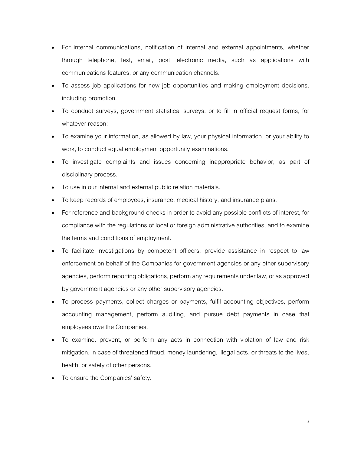- For internal communications, notification of internal and external appointments, whether through telephone, text, email, post, electronic media, such as applications with communications features, or any communication channels.
- To assess job applications for new job opportunities and making employment decisions, including promotion.
- To conduct surveys, government statistical surveys, or to fill in official request forms, for whatever reason;
- To examine your information, as allowed by law, your physical information, or your ability to work, to conduct equal employment opportunity examinations.
- To investigate complaints and issues concerning inappropriate behavior, as part of disciplinary process.
- To use in our internal and external public relation materials.
- To keep records of employees, insurance, medical history, and insurance plans.
- For reference and background checks in order to avoid any possible conflicts of interest, for compliance with the regulations of local or foreign administrative authorities, and to examine the terms and conditions of employment.
- To facilitate investigations by competent officers, provide assistance in respect to law enforcement on behalf of the Companies for government agencies or any other supervisory agencies, perform reporting obligations, perform any requirements under law, or as approved by government agencies or any other supervisory agencies.
- To process payments, collect charges or payments, fulfil accounting objectives, perform accounting management, perform auditing, and pursue debt payments in case that employees owe the Companies.
- To examine, prevent, or perform any acts in connection with violation of law and risk mitigation, in case of threatened fraud, money laundering, illegal acts, or threats to the lives, health, or safety of other persons.
- To ensure the Companies' safety.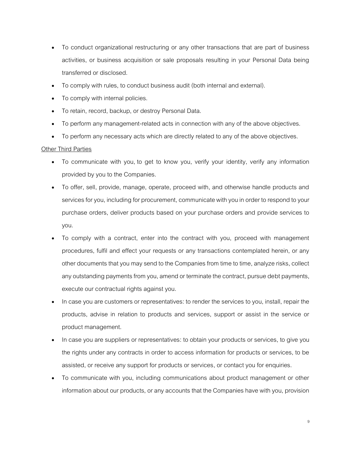- To conduct organizational restructuring or any other transactions that are part of business activities, or business acquisition or sale proposals resulting in your Personal Data being transferred or disclosed.
- To comply with rules, to conduct business audit (both internal and external).
- To comply with internal policies.
- To retain, record, backup, or destroy Personal Data.
- To perform any management-related acts in connection with any of the above objectives.
- To perform any necessary acts which are directly related to any of the above objectives.

### Other Third Parties

- To communicate with you, to get to know you, verify your identity, verify any information provided by you to the Companies.
- To offer, sell, provide, manage, operate, proceed with, and otherwise handle products and services for you, including for procurement, communicate with you in order to respond to your purchase orders, deliver products based on your purchase orders and provide services to you.
- To comply with a contract, enter into the contract with you, proceed with management procedures, fulfil and effect your requests or any transactions contemplated herein, or any other documents that you may send to the Companies from time to time, analyze risks, collect any outstanding payments from you, amend or terminate the contract, pursue debt payments, execute our contractual rights against you.
- In case you are customers or representatives: to render the services to you, install, repair the products, advise in relation to products and services, support or assist in the service or product management.
- In case you are suppliers or representatives: to obtain your products or services, to give you the rights under any contracts in order to access information for products or services, to be assisted, or receive any support for products or services, or contact you for enquiries.
- To communicate with you, including communications about product management or other information about our products, or any accounts that the Companies have with you, provision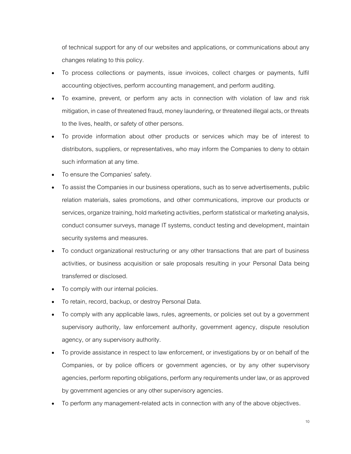of technical support for any of our websites and applications, or communications about any changes relating to this policy.

- To process collections or payments, issue invoices, collect charges or payments, fulfil accounting objectives, perform accounting management, and perform auditing.
- To examine, prevent, or perform any acts in connection with violation of law and risk mitigation, in case of threatened fraud, money laundering, or threatened illegal acts, or threats to the lives, health, or safety of other persons.
- To provide information about other products or services which may be of interest to distributors, suppliers, or representatives, who may inform the Companies to deny to obtain such information at any time.
- To ensure the Companies' safety.
- To assist the Companies in our business operations, such as to serve advertisements, public relation materials, sales promotions, and other communications, improve our products or services, organize training, hold marketing activities, perform statistical or marketing analysis, conduct consumer surveys, manage IT systems, conduct testing and development, maintain security systems and measures.
- To conduct organizational restructuring or any other transactions that are part of business activities, or business acquisition or sale proposals resulting in your Personal Data being transferred or disclosed.
- To comply with our internal policies.
- To retain, record, backup, or destroy Personal Data.
- To comply with any applicable laws, rules, agreements, or policies set out by a government supervisory authority, law enforcement authority, government agency, dispute resolution agency, or any supervisory authority.
- To provide assistance in respect to law enforcement, or investigations by or on behalf of the Companies, or by police officers or government agencies, or by any other supervisory agencies, perform reporting obligations, perform any requirements under law, or as approved by government agencies or any other supervisory agencies.
- To perform any management-related acts in connection with any of the above objectives.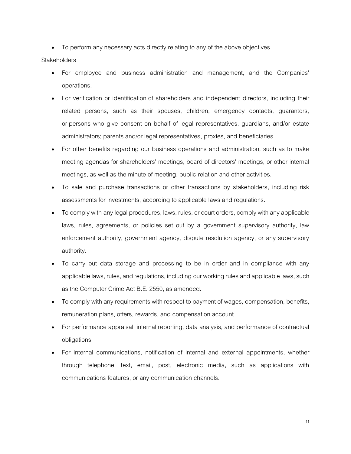• To perform any necessary acts directly relating to any of the above objectives.

### **Stakeholders**

- For employee and business administration and management, and the Companies' operations.
- For verification or identification of shareholders and independent directors, including their related persons, such as their spouses, children, emergency contacts, guarantors, or persons who give consent on behalf of legal representatives, guardians, and/or estate administrators; parents and/or legal representatives, proxies, and beneficiaries.
- For other benefits regarding our business operations and administration, such as to make meeting agendas for shareholders' meetings, board of directors' meetings, or other internal meetings, as well as the minute of meeting, public relation and other activities.
- To sale and purchase transactions or other transactions by stakeholders, including risk assessments for investments, according to applicable laws and regulations.
- To comply with any legal procedures, laws, rules, or court orders, comply with any applicable laws, rules, agreements, or policies set out by a government supervisory authority, law enforcement authority, government agency, dispute resolution agency, or any supervisory authority.
- To carry out data storage and processing to be in order and in compliance with any applicable laws, rules, and regulations, including our working rules and applicable laws, such as the Computer Crime Act B.E. 2550, as amended.
- To comply with any requirements with respect to payment of wages, compensation, benefits, remuneration plans, offers, rewards, and compensation account.
- For performance appraisal, internal reporting, data analysis, and performance of contractual obligations.
- For internal communications, notification of internal and external appointments, whether through telephone, text, email, post, electronic media, such as applications with communications features, or any communication channels.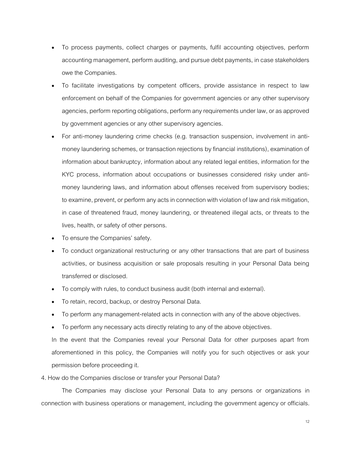- To process payments, collect charges or payments, fulfil accounting objectives, perform accounting management, perform auditing, and pursue debt payments, in case stakeholders owe the Companies.
- To facilitate investigations by competent officers, provide assistance in respect to law enforcement on behalf of the Companies for government agencies or any other supervisory agencies, perform reporting obligations, perform any requirements under law, or as approved by government agencies or any other supervisory agencies.
- For anti-money laundering crime checks (e.g. transaction suspension, involvement in antimoney laundering schemes, or transaction rejections by financial institutions), examination of information about bankruptcy, information about any related legal entities, information for the KYC process, information about occupations or businesses considered risky under antimoney laundering laws, and information about offenses received from supervisory bodies; to examine, prevent, or perform any acts in connection with violation of law and risk mitigation, in case of threatened fraud, money laundering, or threatened illegal acts, or threats to the lives, health, or safety of other persons.
- To ensure the Companies' safety.
- To conduct organizational restructuring or any other transactions that are part of business activities, or business acquisition or sale proposals resulting in your Personal Data being transferred or disclosed.
- To comply with rules, to conduct business audit (both internal and external).
- To retain, record, backup, or destroy Personal Data.
- To perform any management-related acts in connection with any of the above objectives.
- To perform any necessary acts directly relating to any of the above objectives.

In the event that the Companies reveal your Personal Data for other purposes apart from aforementioned in this policy, the Companies will notify you for such objectives or ask your permission before proceeding it.

# 4. How do the Companies disclose or transfer your Personal Data?

The Companies may disclose your Personal Data to any persons or organizations in connection with business operations or management, including the government agency or officials.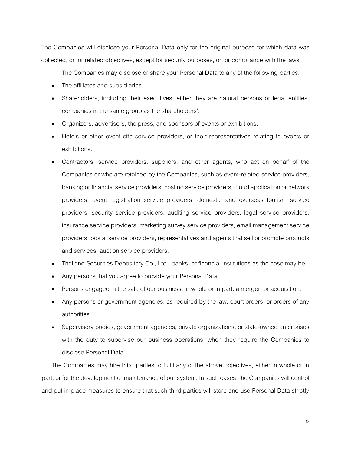The Companies will disclose your Personal Data only for the original purpose for which data was collected, or for related objectives, except for security purposes, or for compliance with the laws.

The Companies may disclose or share your Personal Data to any of the following parties:

- The affiliates and subsidiaries.
- Shareholders, including their executives, either they are natural persons or legal entities, companies in the same group as the shareholders'.
- Organizers, advertisers, the press, and sponsors of events or exhibitions.
- Hotels or other event site service providers, or their representatives relating to events or exhibitions.
- Contractors, service providers, suppliers, and other agents, who act on behalf of the Companies or who are retained by the Companies, such as event-related service providers, banking or financial service providers, hosting service providers, cloud application or network providers, event registration service providers, domestic and overseas tourism service providers, security service providers, auditing service providers, legal service providers, insurance service providers, marketing survey service providers, email management service providers, postal service providers, representatives and agents that sell or promote products and services, auction service providers.
- Thailand Securities Depository Co., Ltd., banks, or financial institutions as the case may be.
- Any persons that you agree to provide your Personal Data.
- Persons engaged in the sale of our business, in whole or in part, a merger, or acquisition.
- Any persons or government agencies, as required by the law, court orders, or orders of any authorities.
- Supervisory bodies, government agencies, private organizations, or state-owned enterprises with the duty to supervise our business operations, when they require the Companies to disclose Personal Data.

The Companies may hire third parties to fulfil any of the above objectives, either in whole or in part, or for the development or maintenance of our system. In such cases, the Companies will control and put in place measures to ensure that such third parties will store and use Personal Data strictly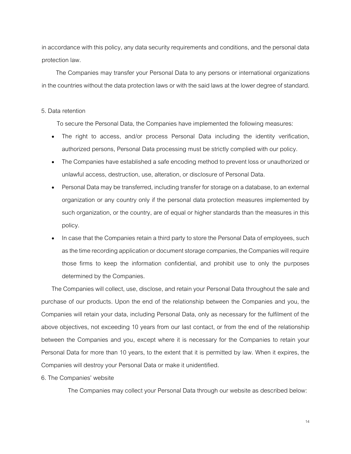in accordance with this policy, any data security requirements and conditions, and the personal data protection law.

The Companies may transfer your Personal Data to any persons or international organizations in the countries without the data protection laws or with the said laws at the lower degree of standard.

### 5. Data retention

To secure the Personal Data, the Companies have implemented the following measures:

- The right to access, and/or process Personal Data including the identity verification, authorized persons, Personal Data processing must be strictly complied with our policy.
- The Companies have established a safe encoding method to prevent loss or unauthorized or unlawful access, destruction, use, alteration, or disclosure of Personal Data.
- Personal Data may be transferred, including transfer for storage on a database, to an external organization or any country only if the personal data protection measures implemented by such organization, or the country, are of equal or higher standards than the measures in this policy.
- In case that the Companies retain a third party to store the Personal Data of employees, such as the time recording application or document storage companies, the Companies will require those firms to keep the information confidential, and prohibit use to only the purposes determined by the Companies.

The Companies will collect, use, disclose, and retain your Personal Data throughout the sale and purchase of our products. Upon the end of the relationship between the Companies and you, the Companies will retain your data, including Personal Data, only as necessary for the fulfilment of the above objectives, not exceeding 10 years from our last contact, or from the end of the relationship between the Companies and you, except where it is necessary for the Companies to retain your Personal Data for more than 10 years, to the extent that it is permitted by law. When it expires, the Companies will destroy your Personal Data or make it unidentified.

6. The Companies' website

The Companies may collect your Personal Data through our website as described below: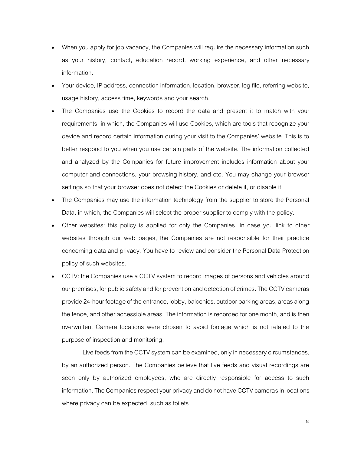- When you apply for job vacancy, the Companies will require the necessary information such as your history, contact, education record, working experience, and other necessary information.
- Your device, IP address, connection information, location, browser, log file, referring website, usage history, access time, keywords and your search.
- The Companies use the Cookies to record the data and present it to match with your requirements, in which, the Companies will use Cookies, which are tools that recognize your device and record certain information during your visit to the Companies' website. This is to better respond to you when you use certain parts of the website. The information collected and analyzed by the Companies for future improvement includes information about your computer and connections, your browsing history, and etc. You may change your browser settings so that your browser does not detect the Cookies or delete it, or disable it.
- The Companies may use the information technology from the supplier to store the Personal Data, in which, the Companies will select the proper supplier to comply with the policy.
- Other websites: this policy is applied for only the Companies. In case you link to other websites through our web pages, the Companies are not responsible for their practice concerning data and privacy. You have to review and consider the Personal Data Protection policy of such websites.
- CCTV: the Companies use a CCTV system to record images of persons and vehicles around our premises, for public safety and for prevention and detection of crimes. The CCTV cameras provide 24-hour footage of the entrance, lobby, balconies, outdoor parking areas, areas along the fence, and other accessible areas. The information is recorded for one month, and is then overwritten. Camera locations were chosen to avoid footage which is not related to the purpose of inspection and monitoring.

Live feeds from the CCTV system can be examined, only in necessary circumstances, by an authorized person. The Companies believe that live feeds and visual recordings are seen only by authorized employees, who are directly responsible for access to such information. The Companies respect your privacy and do not have CCTV cameras in locations where privacy can be expected, such as toilets.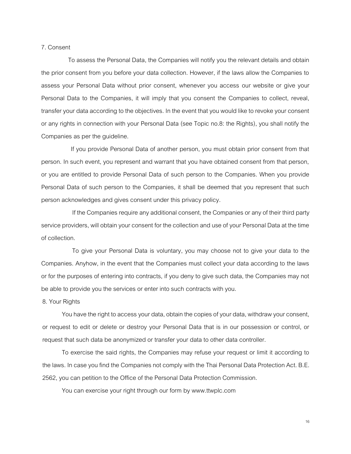### 7. Consent

To assess the Personal Data, the Companies will notify you the relevant details and obtain the prior consent from you before your data collection. However, if the laws allow the Companies to assess your Personal Data without prior consent, whenever you access our website or give your Personal Data to the Companies, it will imply that you consent the Companies to collect, reveal, transfer your data according to the objectives. In the event that you would like to revoke your consent or any rights in connection with your Personal Data (see Topic no.8: the Rights), you shall notify the Companies as per the guideline.

If you provide Personal Data of another person, you must obtain prior consent from that person. In such event, you represent and warrant that you have obtained consent from that person, or you are entitled to provide Personal Data of such person to the Companies. When you provide Personal Data of such person to the Companies, it shall be deemed that you represent that such person acknowledges and gives consent under this privacy policy.

If the Companies require any additional consent, the Companies or any of their third party service providers, will obtain your consent for the collection and use of your Personal Data at the time of collection.

To give your Personal Data is voluntary, you may choose not to give your data to the Companies. Anyhow, in the event that the Companies must collect your data according to the laws or for the purposes of entering into contracts, if you deny to give such data, the Companies may not be able to provide you the services or enter into such contracts with you.

8. Your Rights

You have the right to access your data, obtain the copies of your data, withdraw your consent, or request to edit or delete or destroy your Personal Data that is in our possession or control, or request that such data be anonymized or transfer your data to other data controller.

To exercise the said rights, the Companies may refuse your request or limit it according to the laws. In case you find the Companies not comply with the Thai Personal Data Protection Act. B.E. 2562, you can petition to the Office of the Personal Data Protection Commission.

You can exercise your right through our form by www.ttwplc.com

16